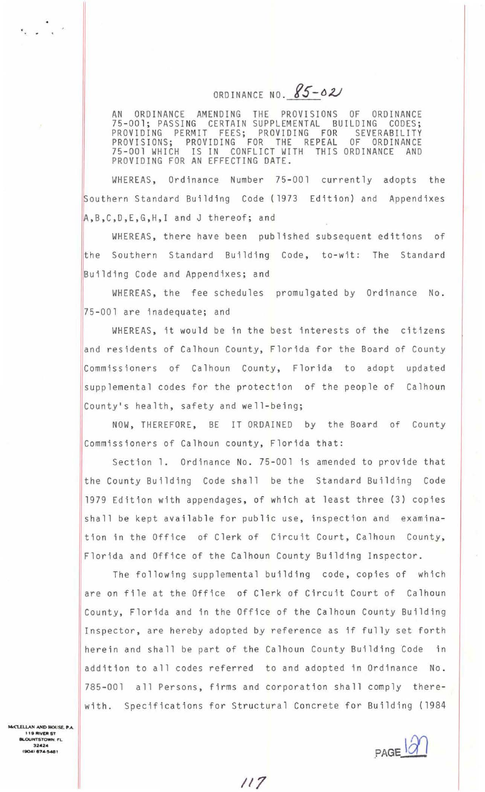ORDINANCE NO. 85-02

AN ORDINANCE AMENDING THE PROVISIONS OF ORDINANCE 75-001; PASSING CERTAIN SUPPLEMENTAL BUILDING CODES; PROVIDING PERMIT FEES; PR<mark>O</mark>VIDING FOR SEVERABILITY PROVISIONS; PROVIDING FOR THE REPEAL OF ORDINANCE 75 - 001 WHICH IS IN CONFLICT WITH THIS ORDINANCE AND PROVIDING FOR AN EFFECTING DATE.

WHEREAS, Ordinance Number 75-001 currently adopts the Southern Standard Building Code (1973 Edition) and Appendixes A, B, C, D, E, G, H, I and J thereof; and

WHEREAS, there have been published subsequent editions of he Southern Standard Building Code, to-wit: The Standard Building Code and Appendixes; and

WHEREAS , the fee schedules promulgated by Ordinance No. 75-001 are inadequate; and

WHEREAS, it would be in the best interests of the citizens and residents of Calhoun County, Florida for the Board of County Commissioners of Calhoun County, Florida to adopt updated supp lemental codes for the protection of the people of Calhoun County's health, safety and well-being;

NOW, THEREFORE, BE IT ORDAINED by the Board of County Commissioners of Calhoun county, Florida that:

Section 1. Ordinance No. 75-001 is amended to provide that the County Building Code shall be the Standard Building Code 1979 Edition with appendages, of which at least three (3) copies shall be kept available for public use, inspection and examination in the Office of Clerk of Circuit Court, Calhoun County, Florida and Office of the Calhoun County Building Inspector.

The following supplemental building code, copies of which are on file at the Office of Clerk of Circuit Court of Calhoun County, Florida and in the Office of the Calhoun County Building Inspector, are hereby adopted by reference as if fully set forth herein and shall be part of the Calhoun County Building Code in addition to all codes referred to and adopted in Ordinance No . 785-001 all Persons, firms and corporation shall comply therewith. Specifications for Structural Concrete for Building (1984

**CLELLAN AND HOUSE, P.A. 119 RIVER ST BLOUNTSTOWN FL<br>32424<br>(904) 674-5481** 

 $\sim$   $\sim$   $\sim$ 

 $PAGE$  $\ddot{\alpha}$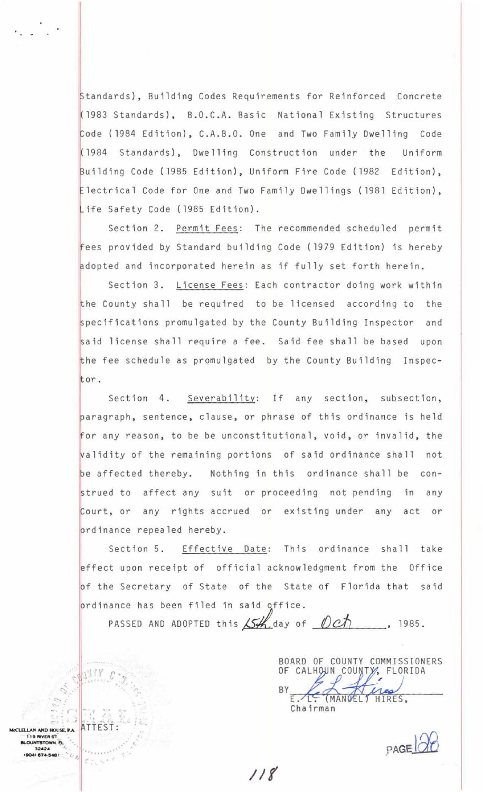Standards), Building Codes Requirements for Reinforced Concrete (1983 Standards), B.O . C. A. Basic National Existing Structures Code (1984 Edition), C.A.B.O. One and Two Family Dwelling Code Building Code (1985 Edition), Uniform Fire Code (1982 Edition),<br>Electrical Code for One and Two Family Dwellings (1981 Edition), {l984 Standards) , Dwelling Construction under the Uniform Building Code (1985 Edition), Uniform Fire Code (1982 Edition), Life Safety Code (1985 Edition).

Section 2. Permit Fees: The recommended scheduled permit fees provided by Standard building Code ( 1979 Edition) is hereby adopted and incorporated herein as if fully set forth herein.

Section 3. License Fees: Each contractor doing work within the County shall be required to be licensed according to the specifications promulgated by the County Building Inspector and said license shall require a fee. Said fee shall be based upon the fee schedule as promulgated by the County Building Inspector.

Section 4. Severability: If any section, subsection, paragraph, sentence, clause, or phrase of this ordinance is held for any reason, to be be unconstitutional, void, or invalid, the alidity of the remaining portions of said ordinance shall not be affected thereby. Nothing in this ordinance shall be construed to affect any suit or proceeding not pending in any Court, or any rights accrued or existing under any act or prdinance repealed hereby.

Section 5. Effective Date: This ordinance shall take effect upon receipt of official acknowledgment from the Office of the Secretary of State of the State of Florida that said ordinance has been filed in said office.

PASSED AND ADOPTED this  $\cancel{\mathcal{L}}$ -day of  $\cancel{\mathcal{L}}$ 

BOARD OF COUNTY COMMISSIONERS OF CALHOUN COUNTY, FLORIDA HIRES, Chairman

 $PAGE$ 

II(

.. .

 $\mathcal{E} \gtrsim_{\mathbb{L}} \mathcal{N}$ 

 $\frac{1}{2}$ . c

**ELLAN AND HOUSE P.A. 19 RIVER ST OUNTSTOWN. FL** 

4) 674-5481

 $\frac{1}{2}c_{\beta}$ 

32424